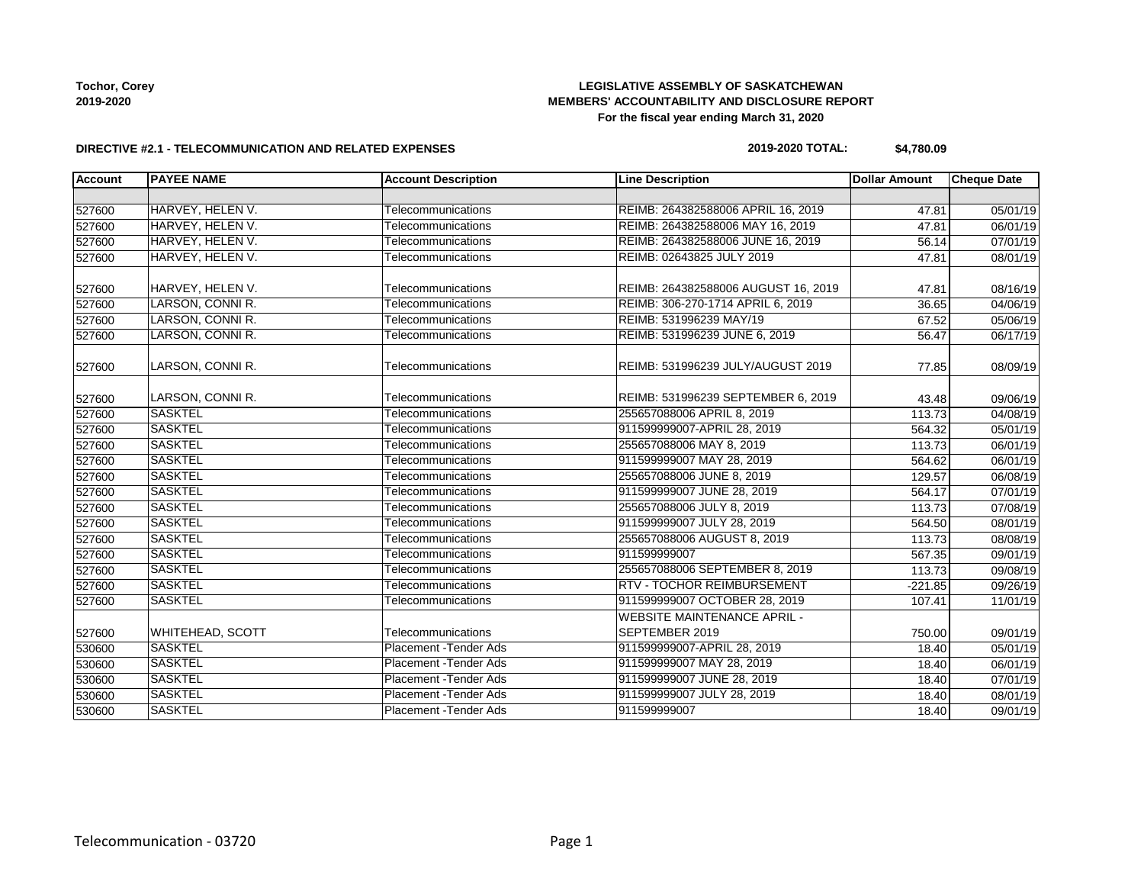**Tochor, Corey 2019-2020**

## **LEGISLATIVE ASSEMBLY OF SASKATCHEWAN MEMBERS' ACCOUNTABILITY AND DISCLOSURE REPORT For the fiscal year ending March 31, 2020**

#### **DIRECTIVE #2.1 - TELECOMMUNICATION AND RELATED EXPENSES**

## **2019-2020 TOTAL: \$4,780.09**

| <b>Account</b> | <b>PAYEE NAME</b>       | <b>Account Description</b> | <b>Line Description</b>             | <b>Dollar Amount</b> | <b>Cheque Date</b>    |
|----------------|-------------------------|----------------------------|-------------------------------------|----------------------|-----------------------|
|                |                         |                            |                                     |                      |                       |
| 527600         | HARVEY, HELEN V.        | Telecommunications         | REIMB: 264382588006 APRIL 16, 2019  | 47.81                | 05/01/19              |
| 527600         | HARVEY, HELEN V.        | Telecommunications         | REIMB: 264382588006 MAY 16, 2019    | 47.81                | 06/01/19              |
| 527600         | HARVEY, HELEN V.        | Telecommunications         | REIMB: 264382588006 JUNE 16, 2019   | 56.14                | 07/01/19              |
| 527600         | HARVEY, HELEN V.        | Telecommunications         | REIMB: 02643825 JULY 2019           | 47.81                | 08/01/19              |
| 527600         | HARVEY, HELEN V.        | Telecommunications         | REIMB: 264382588006 AUGUST 16, 2019 | 47.81                | 08/16/19              |
| 527600         | LARSON, CONNI R.        | Telecommunications         | REIMB: 306-270-1714 APRIL 6, 2019   | 36.65                | 04/06/19              |
| 527600         | LARSON, CONNI R.        | Telecommunications         | REIMB: 531996239 MAY/19             | 67.52                | 05/06/19              |
| 527600         | LARSON, CONNI R.        | Telecommunications         | REIMB: 531996239 JUNE 6, 2019       | 56.47                | 06/17/19              |
| 527600         | LARSON, CONNI R.        | Telecommunications         | REIMB: 531996239 JULY/AUGUST 2019   | 77.85                | 08/09/19              |
| 527600         | LARSON, CONNI R.        | Telecommunications         | REIMB: 531996239 SEPTEMBER 6, 2019  | 43.48                | 09/06/19              |
| 527600         | <b>SASKTEL</b>          | Telecommunications         | 255657088006 APRIL 8, 2019          | 113.73               | 04/08/19              |
| 527600         | <b>SASKTEL</b>          | Telecommunications         | 911599999007-APRIL 28, 2019         | 564.32               | 05/01/19              |
| 527600         | <b>SASKTEL</b>          | Telecommunications         | 255657088006 MAY 8, 2019            | 113.73               | 06/01/19              |
| 527600         | <b>SASKTEL</b>          | Telecommunications         | 911599999007 MAY 28, 2019           | 564.62               | 06/01/19              |
| 527600         | <b>SASKTEL</b>          | Telecommunications         | 255657088006 JUNE 8, 2019           | 129.57               | 06/08/19              |
| 527600         | <b>SASKTEL</b>          | Telecommunications         | 911599999007 JUNE 28, 2019          | 564.17               | 07/01/19              |
| 527600         | <b>SASKTEL</b>          | Telecommunications         | 255657088006 JULY 8, 2019           | 113.73               | 07/08/19              |
| 527600         | <b>SASKTEL</b>          | Telecommunications         | 911599999007 JULY 28, 2019          | 564.50               | 08/01/19              |
| 527600         | <b>SASKTEL</b>          | Telecommunications         | 255657088006 AUGUST 8, 2019         | 113.73               | 08/08/19              |
| 527600         | <b>SASKTEL</b>          | Telecommunications         | 911599999007                        | 567.35               | 09/01/19              |
| 527600         | <b>SASKTEL</b>          | Telecommunications         | 255657088006 SEPTEMBER 8, 2019      | 113.73               | 09/08/19              |
| 527600         | <b>SASKTEL</b>          | Telecommunications         | RTV - TOCHOR REIMBURSEMENT          | $-221.85$            | $\overline{09/2}6/19$ |
| 527600         | <b>SASKTEL</b>          | Telecommunications         | 911599999007 OCTOBER 28, 2019       | 107.41               | 11/01/19              |
|                |                         |                            | <b>WEBSITE MAINTENANCE APRIL -</b>  |                      |                       |
| 527600         | <b>WHITEHEAD, SCOTT</b> | Telecommunications         | SEPTEMBER 2019                      | 750.00               | 09/01/19              |
| 530600         | <b>SASKTEL</b>          | Placement - Tender Ads     | 911599999007-APRIL 28, 2019         | 18.40                | 05/01/19              |
| 530600         | <b>SASKTEL</b>          | Placement - Tender Ads     | 911599999007 MAY 28, 2019           | 18.40                | 06/01/19              |
| 530600         | <b>SASKTEL</b>          | Placement - Tender Ads     | 911599999007 JUNE 28, 2019          | 18.40                | 07/01/19              |
| 530600         | <b>SASKTEL</b>          | Placement - Tender Ads     | 911599999007 JULY 28, 2019          | 18.40                | 08/01/19              |
| 530600         | <b>SASKTEL</b>          | Placement - Tender Ads     | 911599999007                        | 18.40                | 09/01/19              |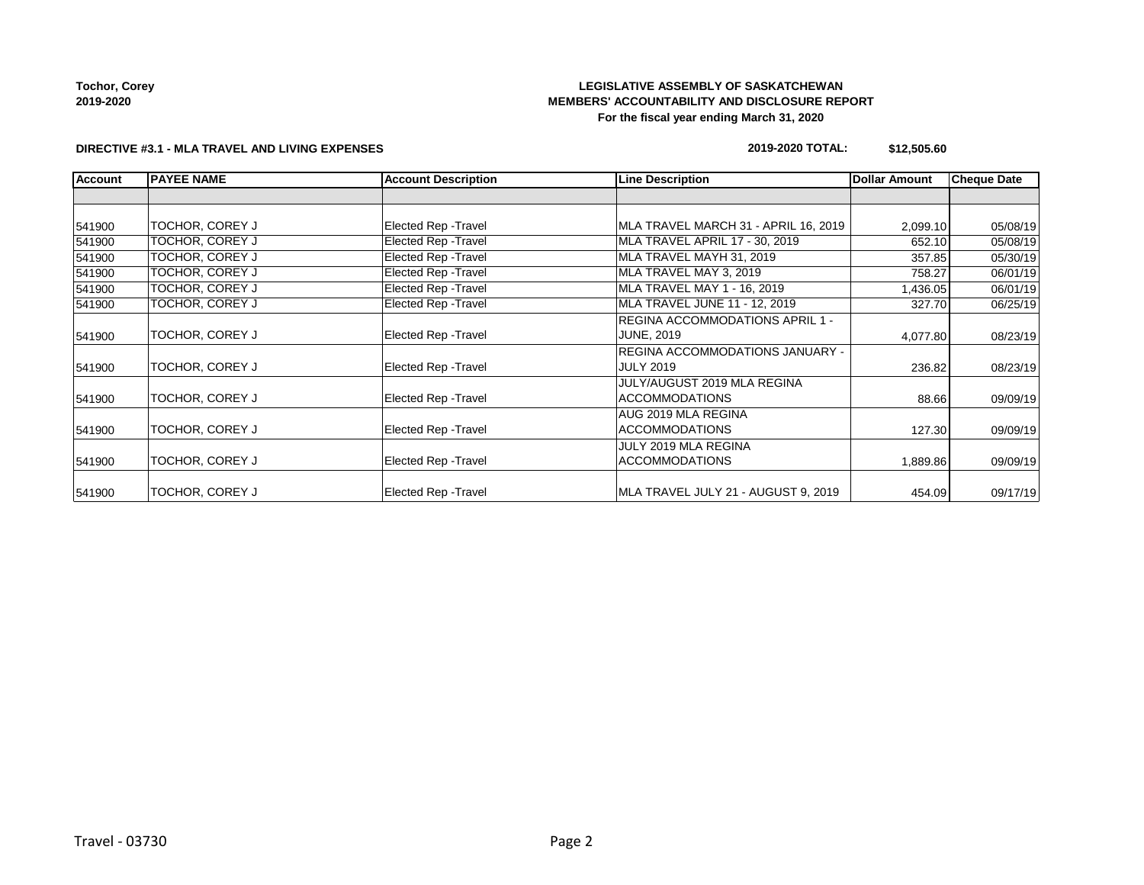**Tochor, Corey 2019-2020**

## **LEGISLATIVE ASSEMBLY OF SASKATCHEWAN MEMBERS' ACCOUNTABILITY AND DISCLOSURE REPORT For the fiscal year ending March 31, 2020**

#### **DIRECTIVE #3.1 - MLA TRAVEL AND LIVING EXPENSES**

#### **2019-2020 TOTAL: \$12,505.60**

| <b>Account</b> | <b>PAYEE NAME</b> | <b>Account Description</b> | Line Description                                              | <b>Dollar Amount</b> | <b>Cheque Date</b> |
|----------------|-------------------|----------------------------|---------------------------------------------------------------|----------------------|--------------------|
|                |                   |                            |                                                               |                      |                    |
| 541900         | TOCHOR, COREY J   | Elected Rep - Travel       | MLA TRAVEL MARCH 31 - APRIL 16, 2019                          | 2,099.10             | 05/08/19           |
| 541900         | TOCHOR, COREY J   | Elected Rep - Travel       | MLA TRAVEL APRIL 17 - 30, 2019                                | 652.10               | 05/08/19           |
| 541900         | TOCHOR, COREY J   | Elected Rep - Travel       | MLA TRAVEL MAYH 31, 2019                                      | 357.85               | 05/30/19           |
| 541900         | TOCHOR, COREY J   | Elected Rep - Travel       | MLA TRAVEL MAY 3, 2019                                        | 758.27               | 06/01/19           |
| 541900         | TOCHOR, COREY J   | Elected Rep - Travel       | MLA TRAVEL MAY 1 - 16, 2019                                   | 1,436.05             | 06/01/19           |
| 541900         | TOCHOR, COREY J   | Elected Rep - Travel       | MLA TRAVEL JUNE 11 - 12, 2019                                 | 327.70               | 06/25/19           |
| 541900         | TOCHOR, COREY J   | Elected Rep - Travel       | REGINA ACCOMMODATIONS APRIL 1 -<br><b>JUNE, 2019</b>          | 4,077.80             | 08/23/19           |
| 541900         | TOCHOR, COREY J   | Elected Rep - Travel       | REGINA ACCOMMODATIONS JANUARY -<br><b>JULY 2019</b><br>236.82 |                      | 08/23/19           |
| 541900         | TOCHOR, COREY J   | Elected Rep - Travel       | JULY/AUGUST 2019 MLA REGINA<br>ACCOMMODATIONS                 | 88.66                | 09/09/19           |
| 541900         | TOCHOR, COREY J   | Elected Rep - Travel       | AUG 2019 MLA REGINA<br><b>ACCOMMODATIONS</b>                  | 127.30               | 09/09/19           |
| 541900         | TOCHOR, COREY J   | Elected Rep - Travel       | JULY 2019 MLA REGINA<br><b>ACCOMMODATIONS</b>                 | 1,889.86             | 09/09/19           |
| 541900         | TOCHOR, COREY J   | Elected Rep - Travel       | MLA TRAVEL JULY 21 - AUGUST 9, 2019                           | 454.09               | 09/17/19           |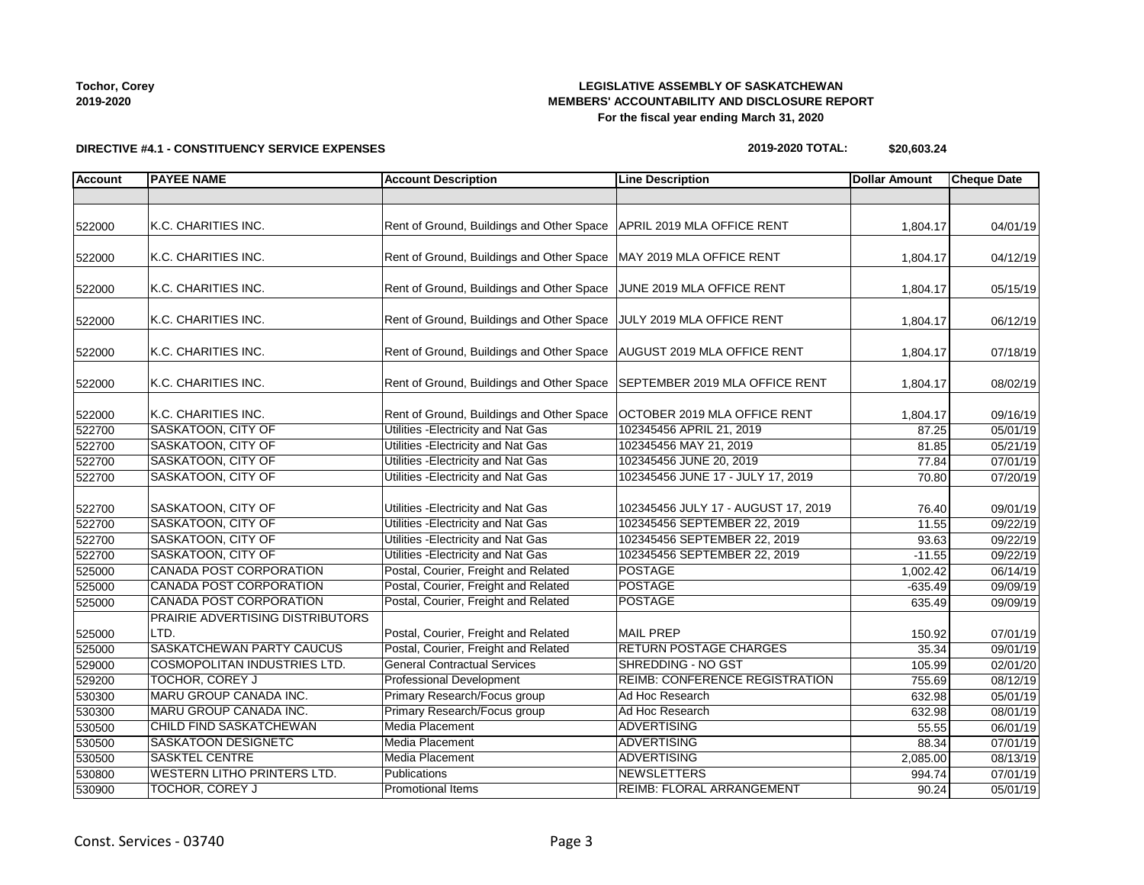## **LEGISLATIVE ASSEMBLY OF SASKATCHEWAN MEMBERS' ACCOUNTABILITY AND DISCLOSURE REPORT For the fiscal year ending March 31, 2020**

# **DIRECTIVE #4.1 - CONSTITUENCY SERVICE EXPENSES**

| 2019-2020 TOTAL: | \$20,603.24 |
|------------------|-------------|
|------------------|-------------|

| Account | <b>PAYEE NAME</b>                                | <b>Account Description</b>                                                       | <b>Line Description</b>                                  | <b>Dollar Amount</b> | <b>Cheque Date</b>    |
|---------|--------------------------------------------------|----------------------------------------------------------------------------------|----------------------------------------------------------|----------------------|-----------------------|
|         |                                                  |                                                                                  |                                                          |                      |                       |
|         |                                                  |                                                                                  |                                                          |                      |                       |
| 522000  | K.C. CHARITIES INC.                              | Rent of Ground, Buildings and Other Space   APRIL 2019 MLA OFFICE RENT           |                                                          | 1,804.17             | 04/01/19              |
|         | K.C. CHARITIES INC.                              | Rent of Ground, Buildings and Other Space   MAY 2019 MLA OFFICE RENT             |                                                          |                      |                       |
| 522000  |                                                  |                                                                                  |                                                          | 1,804.17             | 04/12/19              |
| 522000  | K.C. CHARITIES INC.                              | Rent of Ground, Buildings and Other Space JUNE 2019 MLA OFFICE RENT              |                                                          | 1,804.17             | 05/15/19              |
| 522000  | K.C. CHARITIES INC.                              | Rent of Ground, Buildings and Other Space JULY 2019 MLA OFFICE RENT              |                                                          | 1,804.17             | 06/12/19              |
| 522000  | K.C. CHARITIES INC.                              | Rent of Ground, Buildings and Other Space   AUGUST 2019 MLA OFFICE RENT          |                                                          | 1,804.17             | 07/18/19              |
| 522000  | K.C. CHARITIES INC.                              | Rent of Ground, Buildings and Other Space                                        | SEPTEMBER 2019 MLA OFFICE RENT                           | 1,804.17             | 08/02/19              |
|         |                                                  |                                                                                  |                                                          |                      |                       |
| 522000  | K.C. CHARITIES INC.<br><b>SASKATOON, CITY OF</b> | Rent of Ground, Buildings and Other Space<br>Utilities - Electricity and Nat Gas | OCTOBER 2019 MLA OFFICE RENT<br>102345456 APRIL 21, 2019 | 1,804.17             | 09/16/19              |
| 522700  | SASKATOON, CITY OF                               | Utilities - Electricity and Nat Gas                                              | 102345456 MAY 21, 2019                                   | 87.25                | 05/01/19              |
| 522700  | <b>SASKATOON, CITY OF</b>                        | Utilities - Electricity and Nat Gas                                              | 102345456 JUNE 20, 2019                                  | 81.85                | 05/21/19              |
| 522700  |                                                  |                                                                                  |                                                          | 77.84                | 07/01/19              |
| 522700  | SASKATOON, CITY OF                               | Utilities - Electricity and Nat Gas                                              | 102345456 JUNE 17 - JULY 17, 2019                        | 70.80                | 07/20/19              |
| 522700  | SASKATOON, CITY OF                               | Utilities - Electricity and Nat Gas                                              | 102345456 JULY 17 - AUGUST 17, 2019                      | 76.40                | 09/01/19              |
| 522700  | <b>SASKATOON, CITY OF</b>                        | Utilities - Electricity and Nat Gas                                              | 102345456 SEPTEMBER 22, 2019                             | 11.55                | 09/22/19              |
| 522700  | SASKATOON, CITY OF                               | Utilities - Electricity and Nat Gas                                              | 102345456 SEPTEMBER 22, 2019                             | 93.63                | 09/22/19              |
| 522700  | SASKATOON, CITY OF                               | Utilities - Electricity and Nat Gas                                              | 102345456 SEPTEMBER 22, 2019                             | $-11.55$             | $\overline{09/22}/19$ |
| 525000  | <b>CANADA POST CORPORATION</b>                   | Postal, Courier, Freight and Related                                             | POSTAGE                                                  | 1.002.42             | 06/14/19              |
| 525000  | <b>CANADA POST CORPORATION</b>                   | Postal, Courier, Freight and Related                                             | <b>POSTAGE</b>                                           | $-635.49$            | 09/09/19              |
| 525000  | <b>CANADA POST CORPORATION</b>                   | Postal, Courier, Freight and Related                                             | <b>POSTAGE</b>                                           | 635.49               | 09/09/19              |
|         | PRAIRIE ADVERTISING DISTRIBUTORS                 |                                                                                  |                                                          |                      |                       |
| 525000  | LTD.                                             | Postal, Courier, Freight and Related                                             | <b>MAIL PREP</b>                                         | 150.92               | 07/01/19              |
| 525000  | <b>SASKATCHEWAN PARTY CAUCUS</b>                 | Postal, Courier, Freight and Related                                             | <b>RETURN POSTAGE CHARGES</b>                            | 35.34                | 09/01/19              |
| 529000  | <b>COSMOPOLITAN INDUSTRIES LTD.</b>              | <b>General Contractual Services</b>                                              | SHREDDING - NO GST                                       | 105.99               | 02/01/20              |
| 529200  | <b>TOCHOR, COREY J</b>                           | <b>Professional Development</b>                                                  | <b>REIMB: CONFERENCE REGISTRATION</b>                    | 755.69               | 08/12/19              |
| 530300  | MARU GROUP CANADA INC.                           | Primary Research/Focus group                                                     | Ad Hoc Research                                          | 632.98               | 05/01/19              |
| 530300  | MARU GROUP CANADA INC.                           | Primary Research/Focus group                                                     | Ad Hoc Research                                          | 632.98               | 08/01/19              |
| 530500  | CHILD FIND SASKATCHEWAN                          | Media Placement                                                                  | <b>ADVERTISING</b>                                       | 55.55                | 06/01/19              |
| 530500  | SASKATOON DESIGNETC                              | <b>Media Placement</b>                                                           | <b>ADVERTISING</b>                                       | 88.34                | 07/01/19              |
| 530500  | <b>SASKTEL CENTRE</b>                            | <b>Media Placement</b>                                                           | <b>ADVERTISING</b>                                       | 2,085.00             | 08/13/19              |
| 530800  | <b>WESTERN LITHO PRINTERS LTD.</b>               | <b>Publications</b>                                                              | <b>NEWSLETTERS</b>                                       | 994.74               | 07/01/19              |
| 530900  | <b>TOCHOR, COREY J</b>                           | <b>Promotional Items</b>                                                         | <b>REIMB: FLORAL ARRANGEMENT</b>                         | 90.24                | 05/01/19              |

**Tochor, Corey 2019-2020**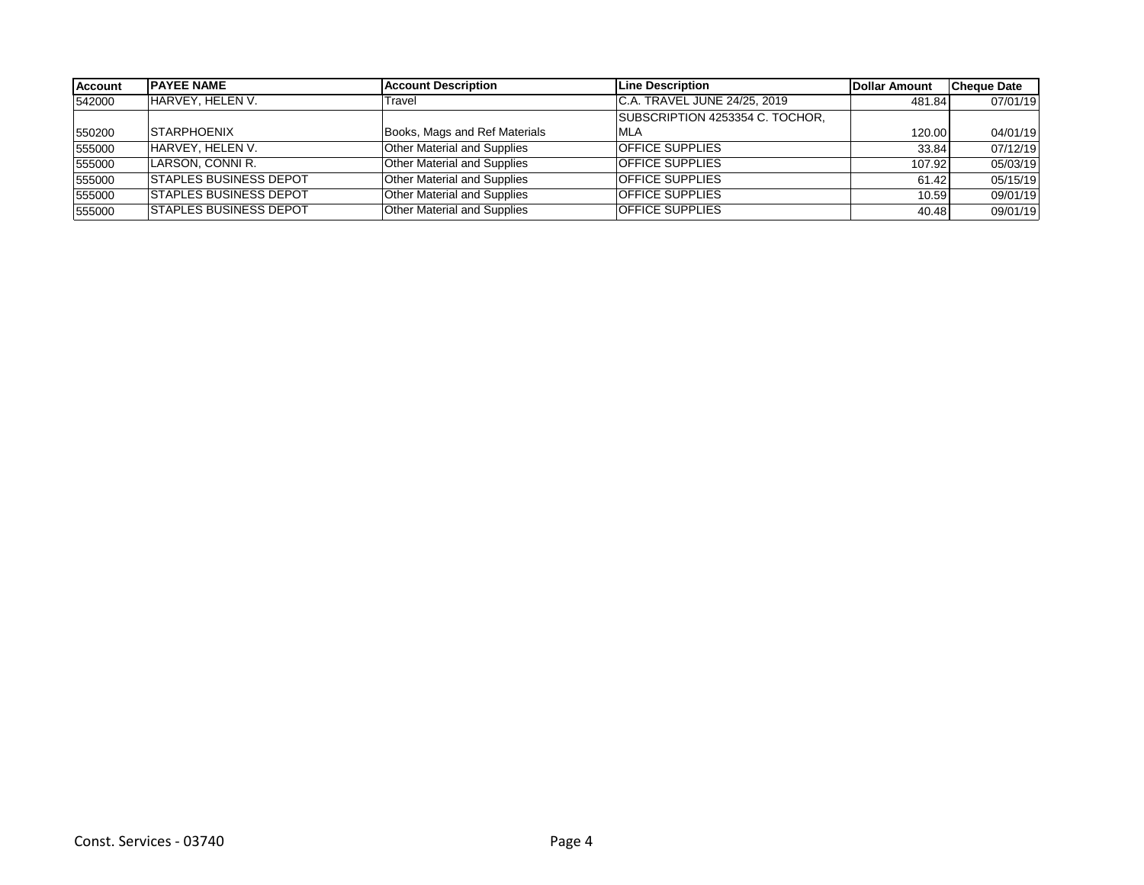| Account | <b>IPAYEE NAME</b>            | <b>Account Description</b>         | Line Description                | Dollar Amount | <b>Cheque Date</b> |
|---------|-------------------------------|------------------------------------|---------------------------------|---------------|--------------------|
| 542000  | HARVEY, HELEN V.              | Travel                             | IC.A. TRAVEL JUNE 24/25, 2019   | 481.84        | 07/01/19           |
|         |                               |                                    | SUBSCRIPTION 4253354 C. TOCHOR. |               |                    |
| 550200  | <b>STARPHOENIX</b>            | Books, Mags and Ref Materials      | <b>IMLA</b>                     | 120.00        | 04/01/19           |
| 555000  | HARVEY, HELEN V.              | <b>Other Material and Supplies</b> | <b>OFFICE SUPPLIES</b>          | 33.84         | 07/12/19           |
| 555000  | LARSON, CONNI R.              | <b>Other Material and Supplies</b> | <b>OFFICE SUPPLIES</b>          | 107.92        | 05/03/19           |
| 555000  | <b>STAPLES BUSINESS DEPOT</b> | Other Material and Supplies        | <b>OFFICE SUPPLIES</b>          | 61.42         | 05/15/19           |
| 555000  | <b>STAPLES BUSINESS DEPOT</b> | <b>Other Material and Supplies</b> | <b>OFFICE SUPPLIES</b>          | 10.59         | 09/01/19           |
| 555000  | <b>STAPLES BUSINESS DEPOT</b> | Other Material and Supplies        | <b>OFFICE SUPPLIES</b>          | 40.48         | 09/01/19           |